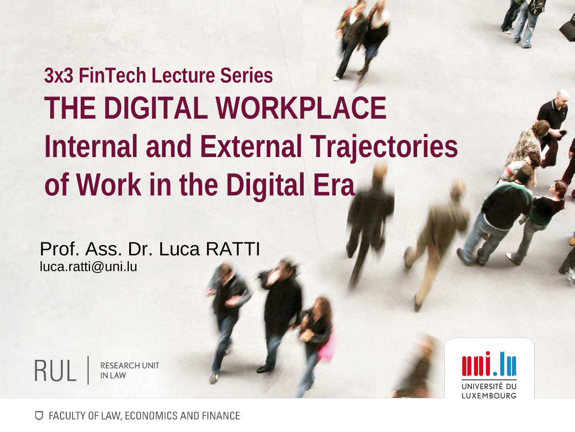## **3x3 FinTech Lecture Series THE DIGITAL WORKPLACE Internal and External Trajectories of Work in the Digital Era**

Prof. Ass. Dr. Luca RATTI luca.ratti@uni.lu





**U FACULTY OF LAW, ECONOMICS AND FINANCE**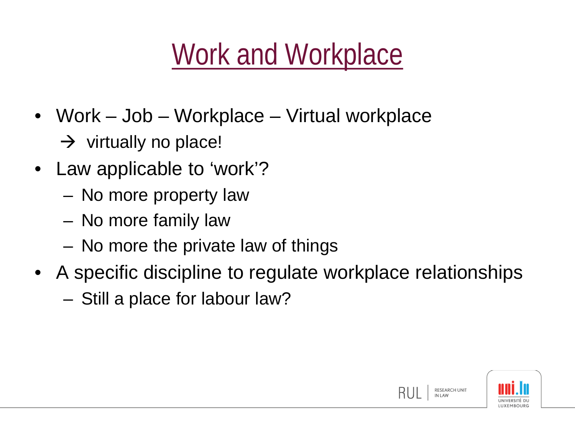# Work and Workplace

- Work Job Workplace Virtual workplace
	- $\rightarrow$  virtually no place!
- Law applicable to 'work'?
	- No more property law
	- No more family law
	- No more the private law of things
- A specific discipline to regulate workplace relationships – Still a place for labour law?

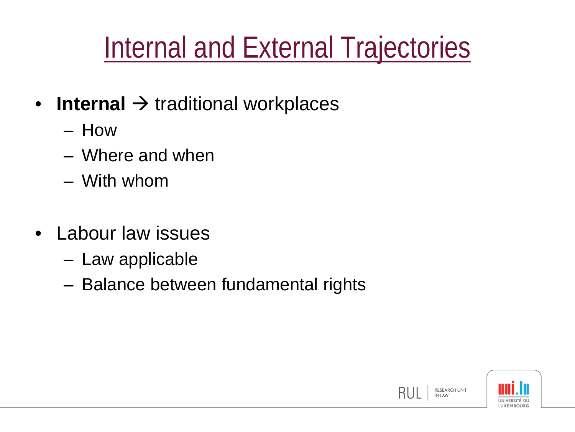## Internal and External Trajectories

- **Internal**  $\rightarrow$  traditional workplaces
	- How
	- Where and when
	- With whom
- Labour law issues
	- Law applicable
	- Balance between fundamental rights

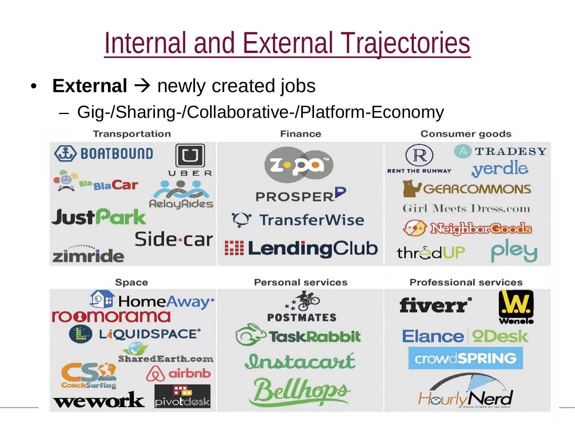Internal and External Trajectories

- **External**  $\rightarrow$  newly created jobs
	- Gig-/Sharing-/Collaborative-/Platform-Economy

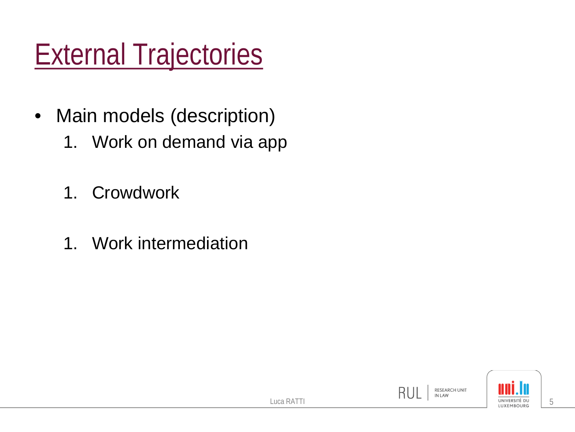# External Trajectories

- Main models (description)
	- 1. Work on demand via app
	- 1. Crowdwork
	- 1. Work intermediation

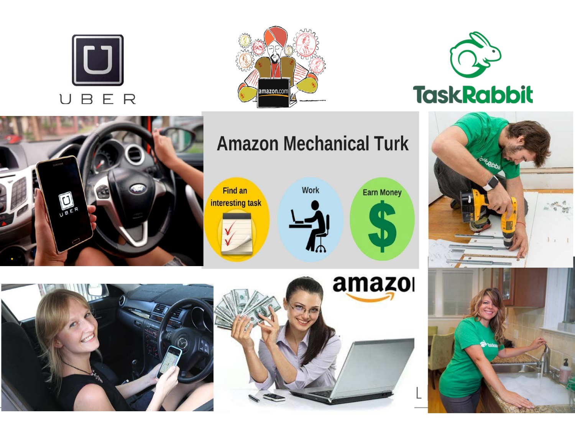







#### **Amazon Mechanical Turk**

Find an interesting task









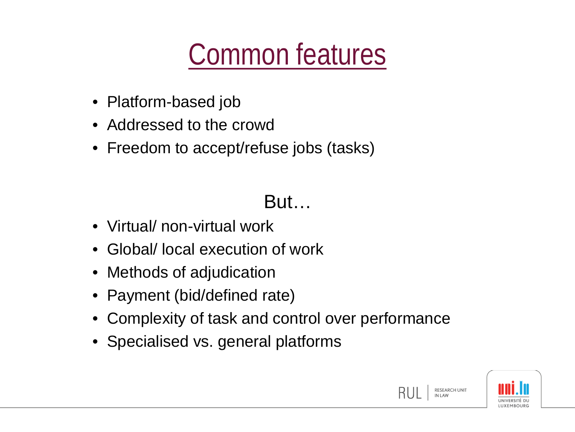## Common features

- Platform-based job
- Addressed to the crowd
- Freedom to accept/refuse jobs (tasks)

#### But…

- Virtual/ non-virtual work
- Global/ local execution of work
- Methods of adjudication
- Payment (bid/defined rate)
- Complexity of task and control over performance
- Specialised vs. general platforms



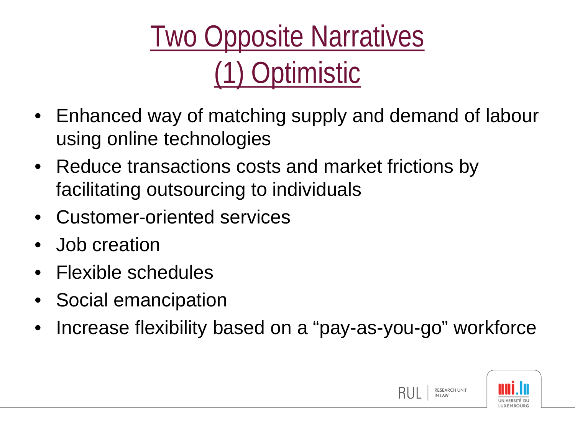Two Opposite Narratives (1) Optimistic

- Enhanced way of matching supply and demand of labour using online technologies
- Reduce transactions costs and market frictions by facilitating outsourcing to individuals
- Customer-oriented services
- Job creation
- Flexible schedules
- Social emancipation
- Increase flexibility based on a "pay-as-you-go" workforce

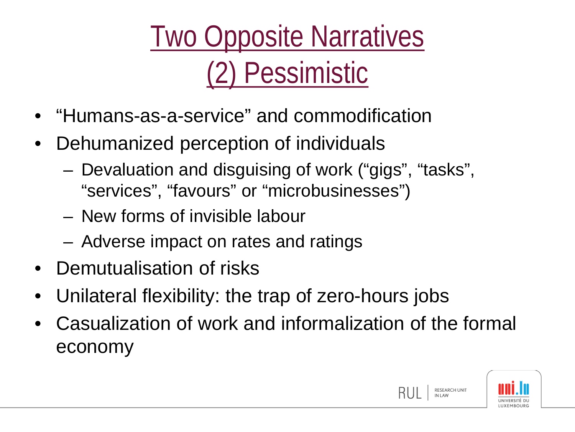Two Opposite Narratives (2) Pessimistic

- "Humans-as-a-service" and commodification
- Dehumanized perception of individuals
	- Devaluation and disguising of work ("gigs", "tasks", "services", "favours" or "microbusinesses")
	- New forms of invisible labour
	- Adverse impact on rates and ratings
- Demutualisation of risks
- Unilateral flexibility: the trap of zero-hours jobs
- Casualization of work and informalization of the formal economy

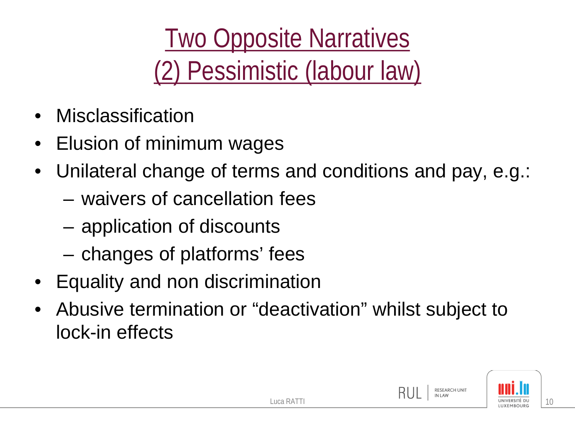Two Opposite Narratives (2) Pessimistic (labour law)

- **Misclassification**
- Elusion of minimum wages
- Unilateral change of terms and conditions and pay, e.g.:
	- waivers of cancellation fees
	- application of discounts
	- changes of platforms' fees
- Equality and non discrimination
- Abusive termination or "deactivation" whilst subject to lock-in effects

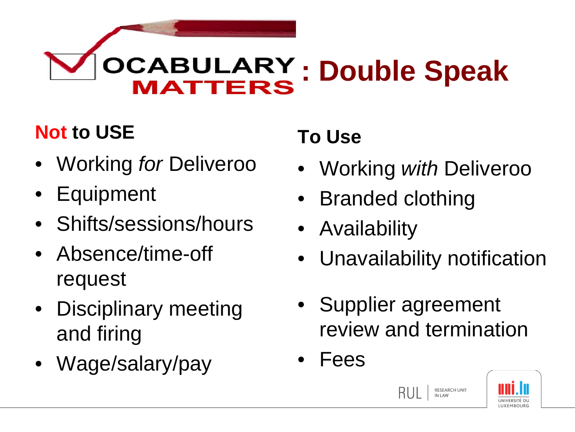#### **OCABULARY: Double Speak IATTERS**

#### **Not to USE**

- Working *for* Deliveroo
- Equipment
- Shifts/sessions/hours
- Absence/time-off request
- Disciplinary meeting and firing
- Wage/salary/pay

#### **To Use**

- Working *with* Deliveroo
- Branded clothing
- Availability
- Unavailability notification
- Supplier agreement review and termination
- Fees



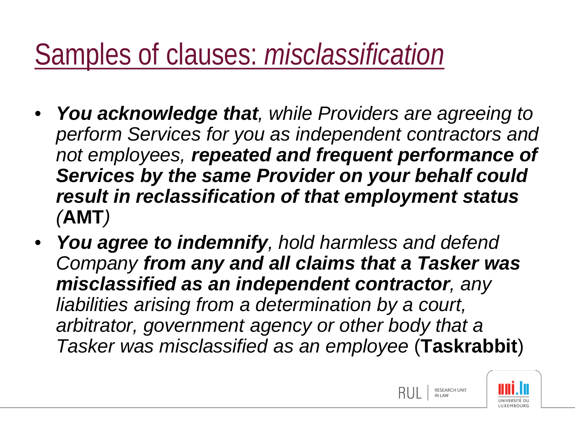### Samples of clauses: *misclassification*

- *You acknowledge that, while Providers are agreeing to perform Services for you as independent contractors and not employees, repeated and frequent performance of Services by the same Provider on your behalf could result in reclassification of that employment status (***AMT***)*
- *You agree to indemnify, hold harmless and defend Company from any and all claims that a Tasker was misclassified as an independent contractor, any liabilities arising from a determination by a court, arbitrator, government agency or other body that a Tasker was misclassified as an employee* (**Taskrabbit**)

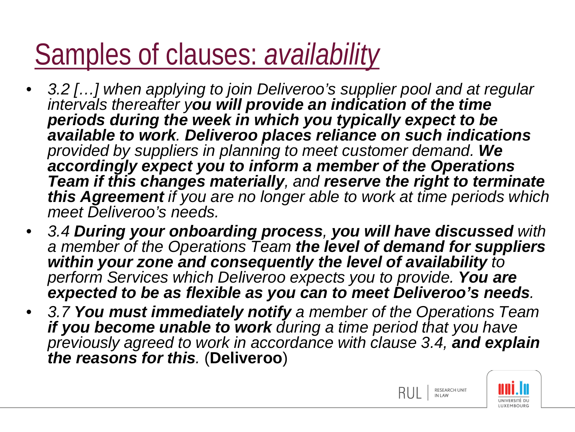## Samples of clauses: *availability*

- *3.2 […] when applying to join Deliveroo's supplier pool and at regular intervals thereafter you will provide an indication of the time periods during the week in which you typically expect to be available to work. Deliveroo places reliance on such indications provided by suppliers in planning to meet customer demand. We accordingly expect you to inform a member of the Operations Team if this changes materially, and reserve the right to terminate this Agreement if you are no longer able to work at time periods which meet Deliveroo's needs.*
- *3.4 During your onboarding process, you will have discussed with a member of the Operations Team the level of demand for suppliers within your zone and consequently the level of availability to perform Services which Deliveroo expects you to provide. You are expected to be as flexible as you can to meet Deliveroo's needs.*
- *3.7 You must immediately notify a member of the Operations Team if you become unable to work during a time period that you have previously agreed to work in accordance with clause 3.4, and explain the reasons for this.* (**Deliveroo**)



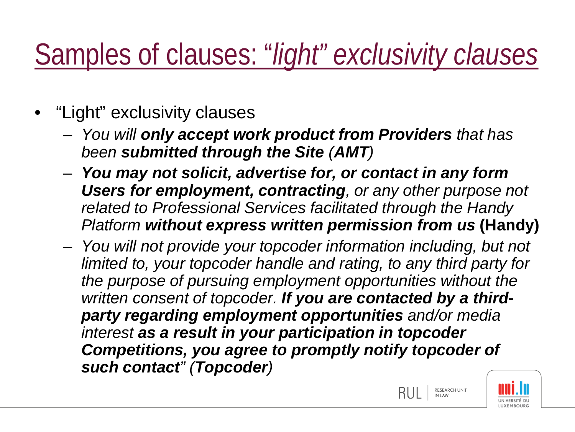## Samples of clauses: "*light" exclusivity clauses*

- "Light" exclusivity clauses
	- *You will only accept work product from Providers that has been submitted through the Site (AMT)*
	- *You may not solicit, advertise for, or contact in any form Users for employment, contracting, or any other purpose not related to Professional Services facilitated through the Handy Platform without express written permission from us* **(Handy)**
	- *You will not provide your topcoder information including, but not limited to, your topcoder handle and rating, to any third party for the purpose of pursuing employment opportunities without the written consent of topcoder. If you are contacted by a thirdparty regarding employment opportunities and/or media interest as a result in your participation in topcoder Competitions, you agree to promptly notify topcoder of such contact" (Topcoder)*



RESEARCH UNIT<br>IN LAW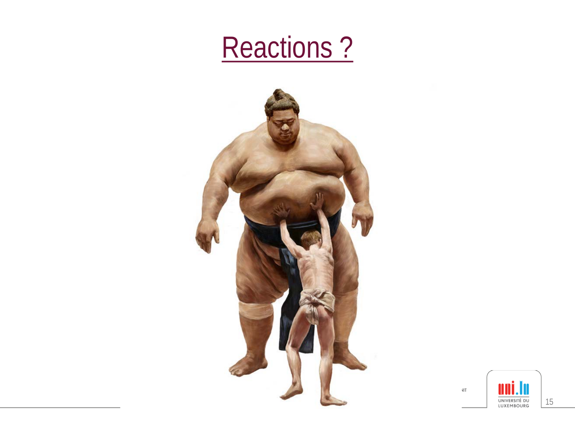#### Reactions?



 $\bar{\rm d} \bar{\rm f}$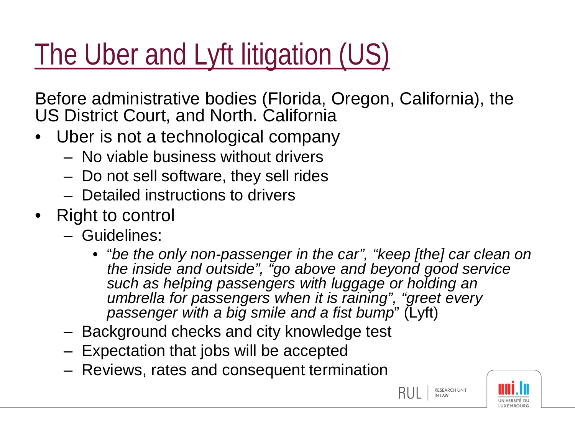# The Uber and Lyft litigation (US)

Before administrative bodies (Florida, Oregon, California), the US District Court, and North. California

- Uber is not a technological company
	- No viable business without drivers
	- Do not sell software, they sell rides
	- Detailed instructions to drivers
- Right to control
	- Guidelines:
		- "*be the only non-passenger in the car", "keep [the] car clean on the inside and outside", "go above and beyond good service such as helping passengers with luggage or holding an umbrella for passengers when it is raining", "greet every passenger with a big smile and a fist bump*" (Lyft)
	- Background checks and city knowledge test
	- Expectation that jobs will be accepted
	- Reviews, rates and consequent termination

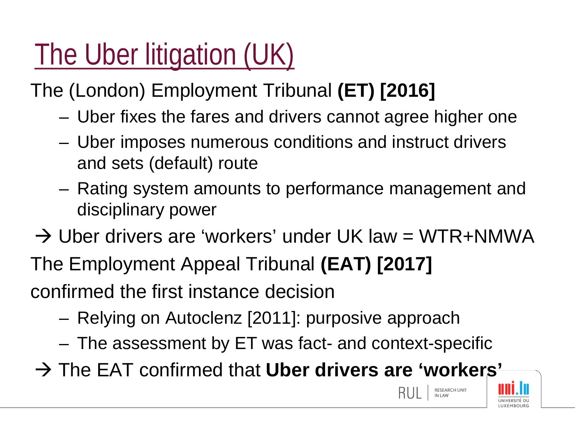# The Uber litigation (UK)

The (London) Employment Tribunal **(ET) [2016]** 

- Uber fixes the fares and drivers cannot agree higher one
- Uber imposes numerous conditions and instruct drivers and sets (default) route
- Rating system amounts to performance management and disciplinary power
- $\rightarrow$  Uber drivers are 'workers' under UK law = WTR+NMWA
- The Employment Appeal Tribunal **(EAT) [2017]**

confirmed the first instance decision

- Relying on Autoclenz [2011]: purposive approach
- The assessment by ET was fact- and context-specific
- The EAT confirmed that **Uber drivers are 'workers'**



RESEARCH UNIT<br>IN LAW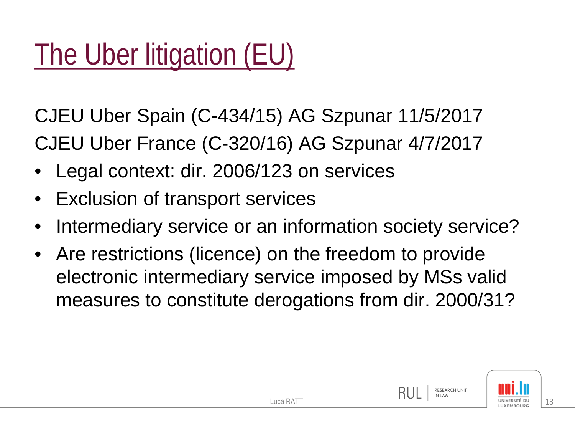# The Uber litigation (EU)

CJEU Uber Spain (C-434/15) AG Szpunar 11/5/2017 CJEU Uber France (C-320/16) AG Szpunar 4/7/2017

- Legal context: dir. 2006/123 on services
- Exclusion of transport services
- Intermediary service or an information society service?
- Are restrictions (licence) on the freedom to provide electronic intermediary service imposed by MSs valid measures to constitute derogations from dir. 2000/31?